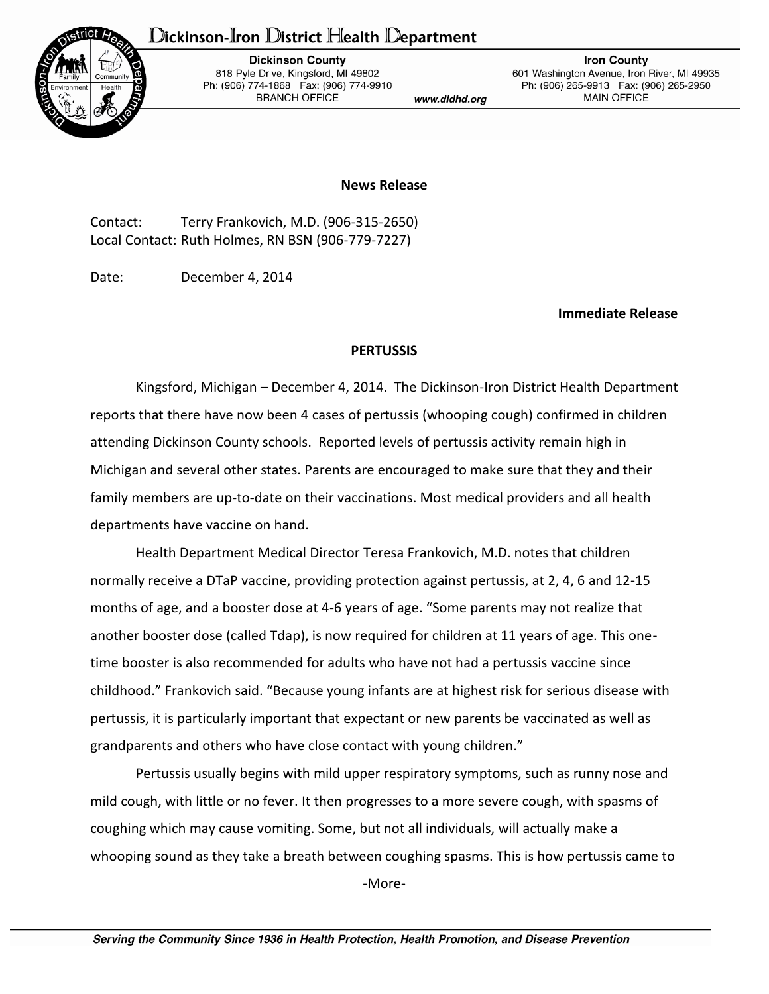## Dickinson-Iron District Health Department



**Dickinson County** 818 Pyle Drive, Kingsford, MI 49802 Ph: (906) 774-1868 Fax: (906) 774-9910 **BRANCH OFFICE** 

www.didhd.org

**Iron County** 601 Washington Avenue, Iron River, MI 49935 Ph: (906) 265-9913 Fax: (906) 265-2950 MAIN OFFICE

## **News Release**

Contact: Terry Frankovich, M.D. (906-315-2650) Local Contact: Ruth Holmes, RN BSN (906-779-7227)

Date: December 4, 2014

**Immediate Release**

## **PERTUSSIS**

Kingsford, Michigan – December 4, 2014. The Dickinson-Iron District Health Department reports that there have now been 4 cases of pertussis (whooping cough) confirmed in children attending Dickinson County schools. Reported levels of pertussis activity remain high in Michigan and several other states. Parents are encouraged to make sure that they and their family members are up-to-date on their vaccinations. Most medical providers and all health departments have vaccine on hand.

Health Department Medical Director Teresa Frankovich, M.D. notes that children normally receive a DTaP vaccine, providing protection against pertussis, at 2, 4, 6 and 12-15 months of age, and a booster dose at 4-6 years of age. "Some parents may not realize that another booster dose (called Tdap), is now required for children at 11 years of age. This onetime booster is also recommended for adults who have not had a pertussis vaccine since childhood." Frankovich said. "Because young infants are at highest risk for serious disease with pertussis, it is particularly important that expectant or new parents be vaccinated as well as grandparents and others who have close contact with young children."

Pertussis usually begins with mild upper respiratory symptoms, such as runny nose and mild cough, with little or no fever. It then progresses to a more severe cough, with spasms of coughing which may cause vomiting. Some, but not all individuals, will actually make a whooping sound as they take a breath between coughing spasms. This is how pertussis came to

-More-